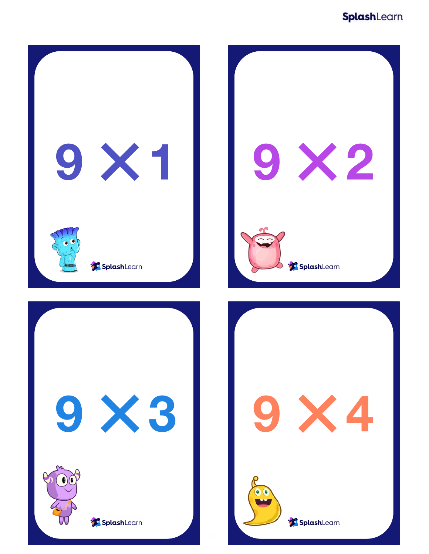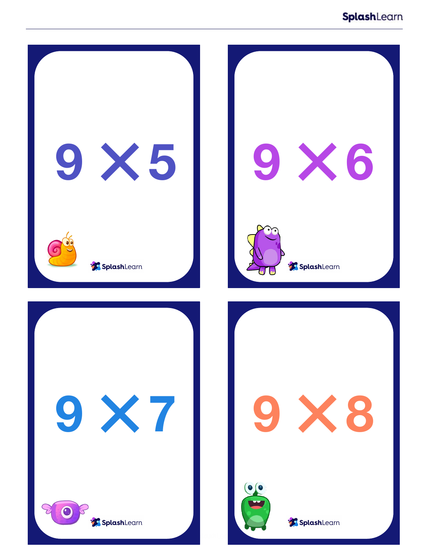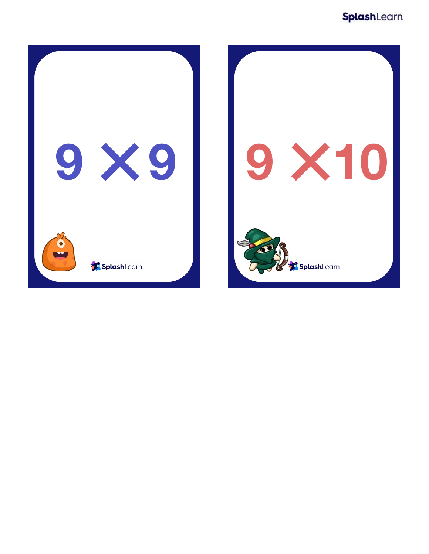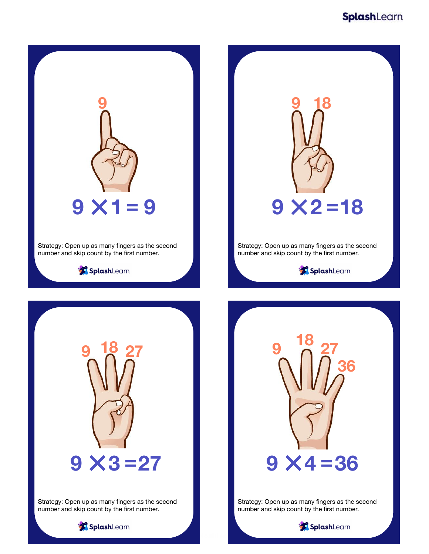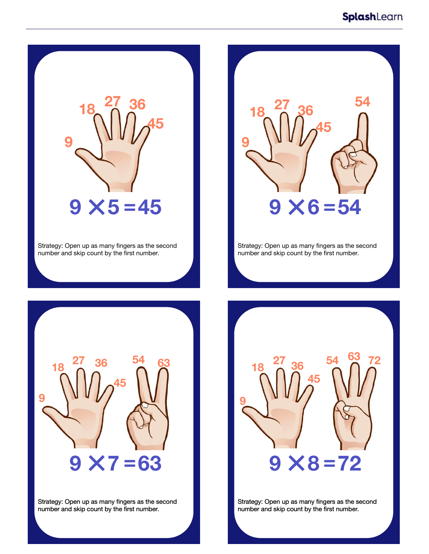

Strategy: Open up as many fingers as the second number and skip count by the first number.



Strategy: Open up as many fingers as the second number and skip count by the first number.



Strategy: Open up as many fingers as the second number and skip count by the first number.



Strategy: Open up as many fingers as the second number and skip count by the first number.